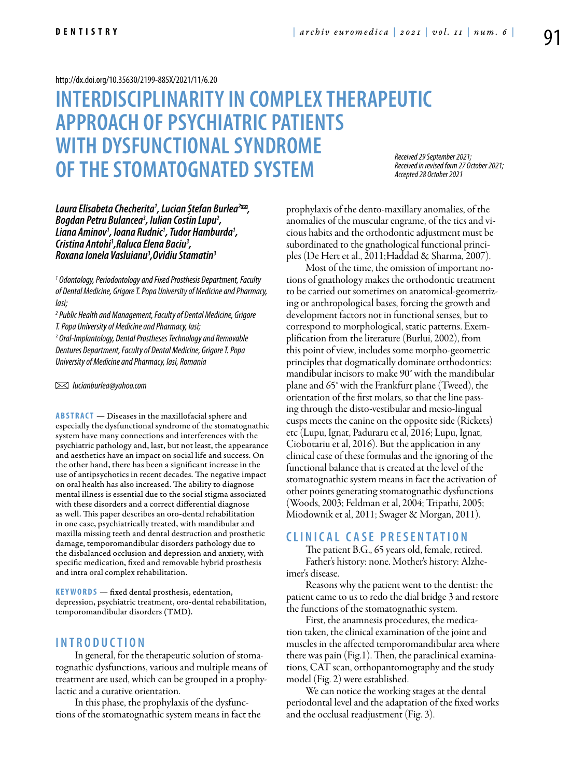#### <http://dx.doi.org/10.35630/2199-885X/2021/11/6.20>

# **INTERDISCIPLINARITYIN COMPLEX THERAPEUTIC APPROACH OF PSYCHIATRIC PATIENTS WITH DYSFUNCTIONALSYNDROME OF THESTOMATOGNATED SYSTEM**

*Received 29 September 2021; Received in revised form 27 October 2021; Accepted 28 October 2021*

*Laura Elisabeta Checherita1 , Lucian Ștefan Burlea2 , Bogdan Petru Bulancea3 , Iulian Costin Lupu2 , Liana Aminov1 , Ioana Rudnic1 , Tudor Hamburda1 , Cristina Antohi1 ,Raluca Elena Baciu3 , Roxana Ionela Vasluianu3 ,Ovidiu Stamatin3*

*1 Odontology, Periodontology and Fixed Prosthesis Department, Faculty of Dental Medicine, Grigore T. Popa University of Medicine and Pharmacy, Iasi;*

*2 Public Health and Management, Faculty of Dental Medicine, Grigore T.Popa University of Medicine and Pharmacy, Iasi;* 

*3 Oral-Implantology, Dental Prostheses Technology and Removable Dentures Department, Faculty of Dental Medicine, Grigore T. Popa University of Medicine and Pharmacy, Iasi, Romania*

 *lucianburlea@yahoo.com*

**ABSTRACT** — Diseases in the maxillofacial sphere and especially the dysfunctional syndrome of the stomatognathic system have many connections and interferences with the psychiatric pathology and, last, but not least, the appearance and aesthetics have an impact on social life and success. On the other hand, there has been a significant increase in the use of antipsychotics in recent decades. The negative impact on oral health has also increased. The ability to diagnose mental illness is essential due to the social stigma associated with these disorders and a correct differential diagnose as well. This paper describes an oro-dental rehabilitation in one case, psychiatrically treated, with mandibular and maxilla missing teeth and dental destruction and prosthetic damage, temporomandibular disorders pathology due to the disbalanced occlusion and depression and anxiety, with specific medication, fixed and removable hybrid prosthesis and intra oral complex rehabilitation.

KEYWORDS — fixed dental prosthesis, edentation, depression, psychiatric treatment, oro-dental rehabilitation, temporomandibular disorders (TMD).

#### **I n t r o d uct i o n**

In general, for the therapeutic solution of stomatognathic dysfunctions, various and multiple means of treatment are used, which can be grouped in a prophylactic and a curative orientation.

In this phase, the prophylaxis of the dysfunctions of the stomatognathic system means in fact the prophylaxis of the dento-maxillary anomalies, of the anomalies of the muscular engrame, of the tics and vicious habits and the orthodontic adjustment must be subordinated to the gnathological functional principles (De Hert et al., 2011;Haddad & Sharma, 2007).

Most of the time, the omission of important notions of gnathology makes the orthodontic treatment to be carried out sometimes on anatomical-geometrizing or anthropological bases, forcing the growth and development factors not in functional senses, but to correspond to morphological, static patterns. Exemplification from the literature (Burlui, 2002), from this point of view, includes some morpho-geometric principles that dogmatically dominate orthodontics: mandibular incisors to make 90° with the mandibular plane and 65° with the Frankfurt plane (Tweed), the orientation of the first molars, so that the line passing through the disto-vestibular and mesio-lingual cusps meets the canine on the opposite side (Rickets) etc (Lupu, Ignat, Paduraru et al, 2016; Lupu, Ignat, Ciobotariu et al, 2016). But the application in any clinical case of these formulas and the ignoring of the functional balance that is created at the level of the stomatognathic system means in fact the activation of other points generating stomatognathic dysfunctions (Woods, 2003; Feldman et al, 2004; Tripathi, 2005; Miodownik et al, 2011; Swager & Morgan, 2011).

## **CLINIC AL C ASE P RESENTATION**

The patient B.G., 65 years old, female, retired. Father's history: none. Mother's history: Alzheimer's disease.

Reasons why the patient went to the dentist: the patient came to us to redo the dial bridge 3 and restore the functions of the stomatognathic system.

First, the anamnesis procedures, the medication taken, the clinical examination of the joint and muscles in the affected temporomandibular area where there was pain (Fig.1). Then, the paraclinical examinations, CAT scan, orthopantomography and the study model (Fig. 2) were established.

We can notice the working stages at the dental periodontal level and the adaptation of the fixed works and the occlusal readjustment (Fig. 3).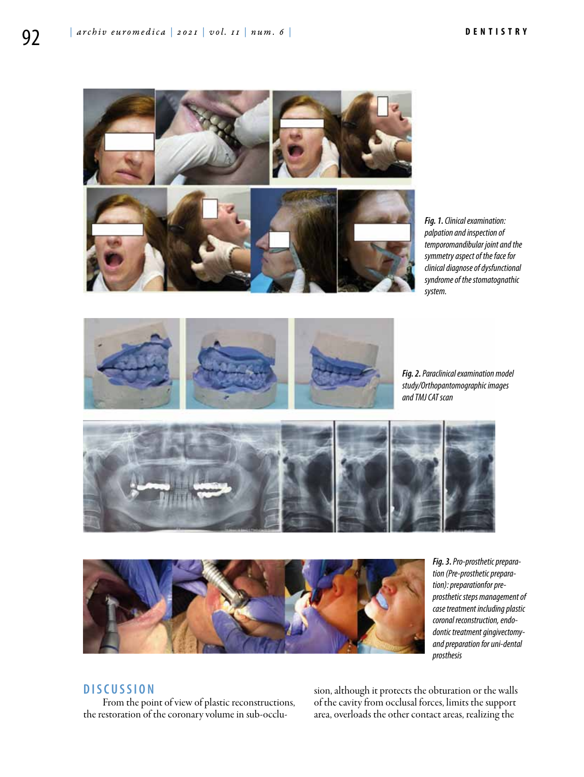

*Fig. 1. Clinical examination: palpation and inspection of temporomandibular joint and the symmetry aspect of the face for clinical diagnose of dysfunctional syndrome of the stomatognathic system.*



*Fig. 2. Paraclinical examination model study/Orthopantomographic images and TMJ CAT scan*





*Fig. 3. Pro-prosthetic preparation (Pre-prosthetic preparation): preparationfor preprosthetic steps management of case treatment including plastic coronal reconstruction, endodontic treatment gingivectomyand preparation for uni-dental prosthesis*

## **DISC U SSION**

From the point of view of plastic reconstructions, the restoration of the coronary volume in sub-occlusion, although it protects the obturation or the walls of the cavity from occlusal forces, limits the support area, overloads the other contact areas, realizing the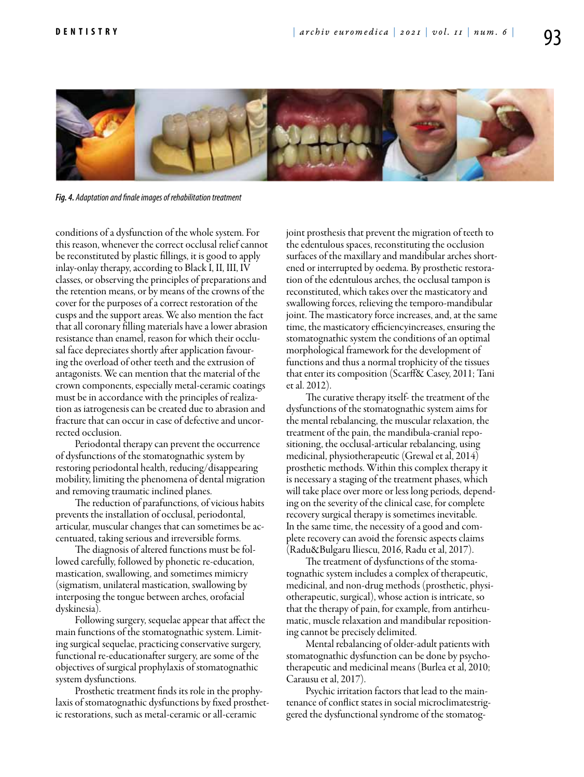

*Fig. 4. Adaptation and finale images of rehabilitation treatment*

conditions of a dysfunction of the whole system. For this reason, whenever the correct occlusal relief cannot be reconstituted by plastic fillings, it is good to apply inlay-onlay therapy, according to Black I, II, III, IV classes, or observing the principles of preparations and the retention means, or by means of the crowns of the cover for the purposes of a correct restoration of the cusps and the support areas. We also mention the fact that all coronary filling materials have a lower abrasion resistance than enamel, reason for which their occlusal face depreciates shortly after application favouring the overload of other teeth and the extrusion of antagonists. We can mention that the material of the crown components, especially metal-ceramic coatings must be in accordance with the principles of realization as iatrogenesis can be created due to abrasion and fracture that can occur in case of defective and uncorrected occlusion.

Periodontal therapy can prevent the occurrence of dysfunctions of the stomatognathic system by restoring periodontal health, reducing/disappearing mobility, limiting the phenomena of dental migration and removing traumatic inclined planes.

The reduction of parafunctions, of vicious habits prevents the installation of occlusal, periodontal, articular, muscular changes that can sometimes be accentuated, taking serious and irreversible forms.

The diagnosis of altered functions must be followed carefully, followed by phonetic re-education, mastication, swallowing, and sometimes mimicry (sigmatism, unilateral mastication, swallowing by interposing the tongue between arches, orofacial dyskinesia).

Following surgery, sequelae appear that affect the main functions of the stomatognathic system. Limiting surgical sequelae, practicing conservative surgery, functional re-educationafter surgery, are some of the objectives of surgical prophylaxis of stomatognathic system dysfunctions.

Prosthetic treatment finds its role in the prophylaxis of stomatognathic dysfunctions by fixed prosthetic restorations, such as metal-ceramic or all-ceramic

joint prosthesis that prevent the migration of teeth to the edentulous spaces, reconstituting the occlusion surfaces of the maxillary and mandibular arches shortened or interrupted by oedema. By prosthetic restoration of the edentulous arches, the occlusal tampon is reconstituted, which takes over the masticatory and swallowing forces, relieving the temporo-mandibular joint. The masticatory force increases, and, at the same time, the masticatory efficiencyincreases, ensuring the stomatognathic system the conditions of an optimal morphological framework for the development of functions and thus a normal trophicity of the tissues that enter its composition (Scarff& Casey, 2011; Tani et al. 2012).

The curative therapy itself- the treatment of the dysfunctions of the stomatognathic system aims for the mental rebalancing, the muscular relaxation, the treatment of the pain, the mandibula-cranial repositioning, the occlusal-articular rebalancing, using medicinal, physiotherapeutic (Grewal et al, 2014) prosthetic methods. Within this complex therapy it is necessary a staging of the treatment phases, which will take place over more or less long periods, depending on the severity of the clinical case, for complete recovery surgical therapy is sometimes inevitable. In the same time, the necessity of a good and complete recovery can avoid the forensic aspects claims (Radu&Bulgaru Iliescu, 2016, Radu et al, 2017).

The treatment of dysfunctions of the stomatognathic system includes a complex of therapeutic, medicinal, and non-drug methods (prosthetic, physiotherapeutic, surgical), whose action is intricate, so that the therapy of pain, for example, from antirheumatic, muscle relaxation and mandibular repositioning cannot be precisely delimited.

Mental rebalancing of older-adult patients with stomatognathic dysfunction can be done by psychotherapeutic and medicinal means (Burlea et al, 2010; Carausu et al, 2017).

Psychic irritation factors that lead to the maintenance of conflict states in social microclimatestriggered the dysfunctional syndrome of the stomatog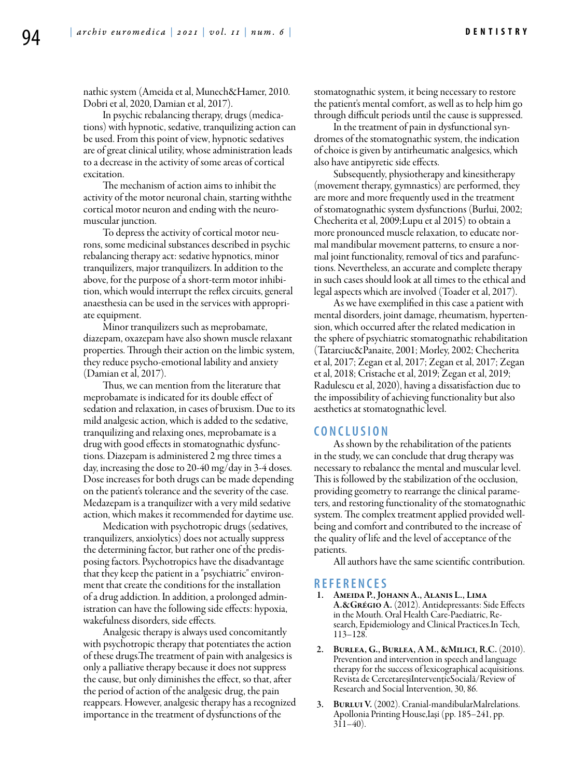nathic system (Ameida et al, Munech&Hamer, 2010. Dobri et al, 2020, Damian et al, 2017).

In psychic rebalancing therapy, drugs (medications) with hypnotic, sedative, tranquilizing action can be used. From this point of view, hypnotic sedatives are of great clinical utility, whose administration leads to a decrease in the activity of some areas of cortical excitation.

The mechanism of action aims to inhibit the activity of the motor neuronal chain, starting withthe cortical motor neuron and ending with the neuromuscular junction.

To depress the activity of cortical motor neurons, some medicinal substances described in psychic rebalancing therapy act: sedative hypnotics, minor tranquilizers, major tranquilizers. In addition to the above, for the purpose of a short-term motor inhibition, which would interrupt the reflex circuits, general anaesthesia can be used in the services with appropriate equipment.

Minor tranquilizers such as meprobamate, diazepam, oxazepam have also shown muscle relaxant properties. Through their action on the limbic system, they reduce psycho-emotional lability and anxiety (Damian et al, 2017).

Thus, we can mention from the literature that meprobamate is indicated for its double effect of sedation and relaxation, in cases of bruxism. Due to its mild analgesic action, which is added to the sedative, tranquilizing and relaxing ones, meprobamate is a drug with good effects in stomatognathic dysfunctions. Diazepam is administered 2 mg three times a day, increasing the dose to 20-40 mg/day in 3-4 doses. Dose increases for both drugs can be made depending on the patient's tolerance and the severity of the case. Medazepam is a tranquilizer with a very mild sedative action, which makes it recommended for daytime use.

Medication with psychotropic drugs (sedatives, tranquilizers, anxiolytics) does not actually suppress the determining factor, but rather one of the predisposing factors. Psychotropics have the disadvantage that they keep the patient in a "psychiatric" environment that create the conditions for the installation of a drug addiction. In addition, a prolonged administration can have the following side effects: hypoxia, wakefulness disorders, side effects.

Analgesic therapy is always used concomitantly with psychotropic therapy that potentiates the action of these drugs.The treatment of pain with analgesics is only a palliative therapy because it does not suppress the cause, but only diminishes the effect, so that, after the period of action of the analgesic drug, the pain reappears. However, analgesic therapy has a recognized importance in the treatment of dysfunctions of the

stomatognathic system, it being necessary to restore the patient's mental comfort, as well as to help him go through difficult periods until the cause is suppressed.

In the treatment of pain in dysfunctional syndromes of the stomatognathic system, the indication of choice is given by antirheumatic analgesics, which also have antipyretic side effects.

Subsequently, physiotherapy and kinesitherapy (movement therapy, gymnastics) are performed, they are more and more frequently used in the treatment of stomatognathic system dysfunctions (Burlui, 2002; Checherita et al, 2009;Lupu et al 2015) to obtain a more pronounced muscle relaxation, to educate normal mandibular movement patterns, to ensure a normal joint functionality, removal of tics and parafunctions. Nevertheless, an accurate and complete therapy in such cases should look at all times to the ethical and legal aspects which are involved (Toader et al, 2017).

As we have exemplified in this case a patient with mental disorders, joint damage, rheumatism, hypertension, which occurred after the related medication in the sphere of psychiatric stomatognathic rehabilitation (Tatarciuc&Panaite, 2001; Morley, 2002; Checherita et al, 2017; Zegan et al, 2017; Zegan et al, 2017; Zegan et al, 2018; Cristache et al, 2019; Zegan et al, 2019; Radulescu et al, 2020), having a dissatisfaction due to the impossibility of achieving functionality but also aesthetics at stomatognathic level.

### **C ON CL U SION**

As shown by the rehabilitation of the patients in the study, we can conclude that drug therapy was necessary to rebalance the mental and muscular level. This is followed by the stabilization of the occlusion, providing geometry to rearrange the clinical parameters, and restoring functionality of the stomatognathic system. The complex treatment applied provided wellbeing and comfort and contributed to the increase of the quality of life and the level of acceptance of the patients.

All authors have the same scientific contribution.

#### **REFEREN CES**

- 1. Ameida P., Johann A., Alanis L., Lima A.&Grégio A. (2012). Antidepressants: Side Effects in the Mouth. Oral Health Care-Paediatric, Research, Epidemiology and Clinical Practices.In Tech, 113–128.
- BURLEA, G., BURLEA, A M., &MILICI, R.C. (2010). Prevention and intervention in speech and language therapy for the success of lexicographical acquisitions. Revista de CercetareșiIntervențieSocială/Review of Research and Social Intervention, 30, 86.
- 3. BURLUI V. (2002). Cranial-mandibularMalrelations. Apollonia Printing House,Iaşi (pp. 185–241, pp. 311–40).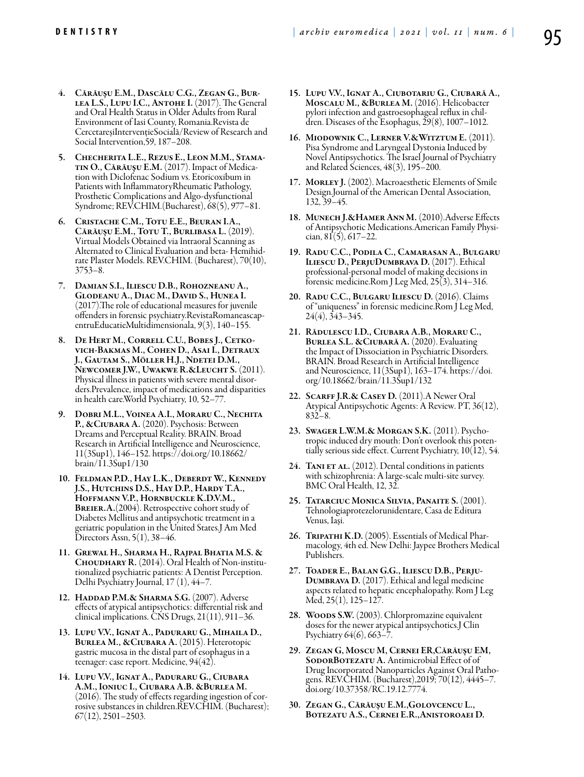- 4. Cărăuşu E.M., Dascălu C.G., Zegan G., Burlea L.S., Lupu I.C., Antohe I. (2017). The General and Oral Health Status in Older Adults from Rural Environment of Iasi County, Romania.Revista de CercetareșiIntervențieSocială/Review of Research and Social Intervention,59, 187–208.
- 5. Checherita L.E., Rezus E., Leon M.M., Stamatin O., Cărăuşu E.M. (2017). Impact of Medication with Diclofenac Sodium vs. Etoricoxibum in Patients with InflammatoryRheumatic Pathology, Prosthetic Complications and Algo-dysfunctional Syndrome; REV.CHIM.(Bucharest), 68(5), 977–81.
- 6. Cristache C.M., Totu E.E., Beuran I.A., Cărăuşu E.M., Totu T., Burlibasa L. (2019). Virtual Models Obtained via Intraoral Scanning as Alternated to Clinical Evaluation and beta- Hemihidrate Plaster Models. REV.CHIM. (Bucharest), 70(10), 3753–8.
- 7. Damian S.I., Iliescu D.B., Rohozneanu A., Glodeanu A., Diac M., David S., Hunea I. (2017).The role of educational measures for juvenile entruEducatieMultidimensionala,  $9(3)$ , 140–155.
- 8. De Hert M., Correll C.U., Bobes J., Cetkovich-Bakmas M., Cohen D., Asai I., Detraux J., Gautam S., Möller H.J., Ndetei D.M., Newcomer J.W., Uwakwe R.&Leucht S. (2011). Physical illness in patients with severe mental disorders.Prevalence, impact of medications and disparities in health care.World Psychiatry, 10, 52–77.
- 9. Dobri M.L., Voinea A.I., Moraru C., Nechita P., &CIUBARA A. (2020). Psychosis: Between Dreams and Perceptual Reality. BRAIN. Broad Research in Artificial Intelligence and Neuroscience, 11(3Sup1), 146–152. https://doi.org/10.18662/ brain/11.3Sup1/130
- 10. Feldman P.D., Hay L.K., Deberdt W., Kennedy J.S., Hutchins D.S., Hay D.P., Hardy T.A., Hoffmann V.P., Hornbuckle K.D.V.M., BREIER.A.(2004). Retrospective cohort study of Diabetes Mellitus and antipsychotic treatment in a geriatric population in the United States.J Am Med Directors Assn, 5(1), 38–46.
- 11. Grewal H., Sharma H., Rajpal Bhatia M.S. & Choudhary R. (2014). Oral Health of Non-institutionalized psychiatric patients: A Dentist Perception. Delhi Psychiatry Journal, 17 (1), 44–7.
- 12. Haddad P.M. & Sharma S.G. (2007). Adverse effects of atypical antipsychotics: differential risk and clinical implications. CNS Drugs, 21(11), 911–36.
- 13. Lupu V.V., Ignat A., Paduraru G., Mihaila D., Burlea M., &Ciubara A. (2015). Heterotopic gastric mucosa in the distal part of esophagus in a teenager: case report. Medicine, 94(42).
- 14. Lupu V.V., Ignat A., Paduraru G., Ciubara A.M., Ioniuc I., Ciubara A.B. &Burlea M. (2016). The study of effects regarding ingestion of corrosive substances in children.REV.CHIM. (Bucharest);  $67(12)$ , 2501–2503.
- 15. Lupu V.V., Ignat A., Ciubotariu G., Ciubară A., Moscalu M., &Burlea M. (2016). Helicobacter pylori infection and gastroesophageal reflux in children. Diseases of the Esophagus,  $\tilde{29}(8)$ , 1007–1012.
- 16. Miodownik C., Lerner V.&Witztum E. (2011). Pisa Syndrome and Laryngeal Dystonia Induced by Novel Antipsychotics. The Israel Journal of Psychiatry and Related Sciences, 48(3), 195–200.
- 17. MORLEY J. (2002). Macroaesthetic Elements of Smile Design.Journal of the American Dental Association, 132, 39–45.
- 18. Munech J.&Hamer Ann M. (2010).Adverse Effects of Antipsychotic Medications.American Family Physician,  $81(5)$ ,  $617-22$ .
- 19. Radu C.C., Podila C., Camarasan A., Bulgaru Iliescu D., PerjuDumbrava D. (2017). Ethical professional-personal model of making decisions in forensic medicine.Rom J Leg Med, 25(3), 314–316.
- 20. Radu C.C., Bulgaru Iliescu D. (2016). Claims of "uniqueness" in forensic medicine.Rom J Leg Med, 24(4), 343–345.
- 21. Rădulescu I.D., Ciubara A.B., Moraru C., Burlea S.L. &Ciubară A. (2020). Evaluating the Impact of Dissociation in Psychiatric Disorders. BRAIN. Broad Research in Artificial Intelligence and Neuroscience, 11(3Sup1), 163–174. https://doi. org/10.18662/brain/11.3Sup1/132
- 22. SCARFF J.R.& CASEY D. (2011). A Newer Oral Atypical Antipsychotic Agents: A Review. PT, 36(12), 832–8.
- 23. Swager L.W.M.& Morgan S.K. (2011). Psychotropic induced dry mouth: Don't overlook this potentially serious side effect. Current Psychiatry, 10(12), 54.
- 24. TANI ET AL. (2012). Dental conditions in patients with schizophrenia: A large-scale multi-site survey. BMC Oral Health, 12, 32.
- 25. Tatarciuc Monica Silvia, Panaite S. (2001). Tehnologiaprotezelorunidentare, Casa de Editura Venus, Iaşi.
- 26. TRIPATHI K.D. (2005). Essentials of Medical Pharmacology, 4th ed. New Delhi: Jaypee Brothers Medical Publishers.
- 27. Toader E., Balan G.G., Iliescu D.B., Perju-Dumbrava D. (2017). Ethical and legal medicine aspects related to hepatic encephalopathy. Rom J Leg Med, 25(1), 125–127.
- 28. Woods S.W. (2003). Chlorpromazine equivalent doses for the newer atypical antipsychotics.J Clin Psychiatry 64(6), 663–7.
- 29. Zegan G, Moscu M, Cernei ER,Cărăuşu EM, SODORBOTEZATU A. Antimicrobial Effect of of Drug Incorporated Nanoparticles Against Oral Pathogens. REV.CHIM. (Bucharest),2019; 70(12), 4445–7. doi.org/10.37358/RC.19.12.7774.
- 30. Zegan G., Cărăuşu E.M.,Golovcencu L., Botezatu A.S., Cernei E.R.,Anistoroaei D.